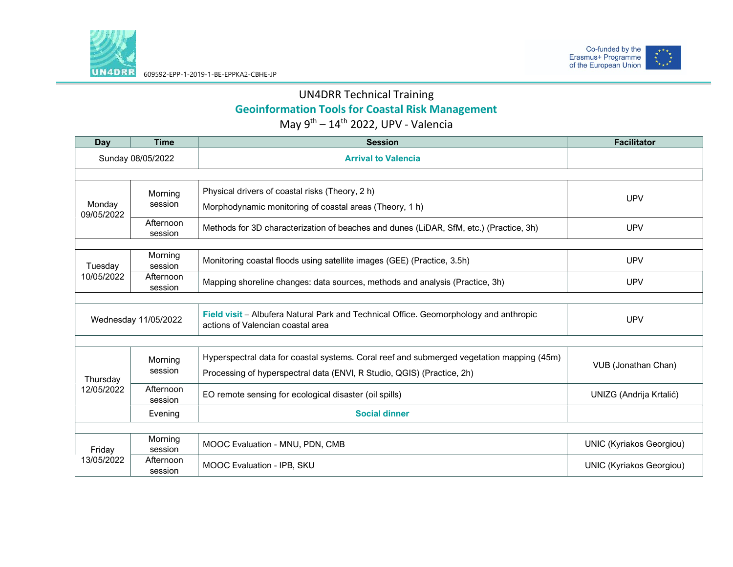



## UN4DRR Technical Training Geoinformation Tools for Coastal Risk Management May  $9^{th} - 14^{th}$  2022, UPV - Valencia

| Day                    | <b>Time</b>          | <b>Session</b>                                                                                                             | <b>Facilitator</b>              |
|------------------------|----------------------|----------------------------------------------------------------------------------------------------------------------------|---------------------------------|
| Sunday 08/05/2022      |                      | <b>Arrival to Valencia</b>                                                                                                 |                                 |
|                        |                      |                                                                                                                            |                                 |
| Monday<br>09/05/2022   | Morning              | Physical drivers of coastal risks (Theory, 2 h)                                                                            | <b>UPV</b>                      |
|                        | session              | Morphodynamic monitoring of coastal areas (Theory, 1 h)                                                                    |                                 |
|                        | Afternoon<br>session | Methods for 3D characterization of beaches and dunes (LiDAR, SfM, etc.) (Practice, 3h)                                     | <b>UPV</b>                      |
|                        | Morning              |                                                                                                                            |                                 |
| Tuesday<br>10/05/2022  | session              | Monitoring coastal floods using satellite images (GEE) (Practice, 3.5h)                                                    | <b>UPV</b>                      |
|                        | Afternoon<br>session | Mapping shoreline changes: data sources, methods and analysis (Practice, 3h)                                               | <b>UPV</b>                      |
|                        |                      |                                                                                                                            |                                 |
| Wednesday 11/05/2022   |                      | Field visit - Albufera Natural Park and Technical Office. Geomorphology and anthropic<br>actions of Valencian coastal area | <b>UPV</b>                      |
|                        |                      |                                                                                                                            |                                 |
| Thursday<br>12/05/2022 | Morning<br>session   | Hyperspectral data for coastal systems. Coral reef and submerged vegetation mapping (45m)                                  | VUB (Jonathan Chan)             |
|                        |                      | Processing of hyperspectral data (ENVI, R Studio, QGIS) (Practice, 2h)                                                     |                                 |
|                        | Afternoon            | EO remote sensing for ecological disaster (oil spills)                                                                     | UNIZG (Andrija Krtalić)         |
|                        | session              | <b>Social dinner</b>                                                                                                       |                                 |
|                        | Evening              |                                                                                                                            |                                 |
| Friday<br>13/05/2022   | Morning              | MOOC Evaluation - MNU, PDN, CMB                                                                                            | <b>UNIC (Kyriakos Georgiou)</b> |
|                        | session              |                                                                                                                            |                                 |
|                        | Afternoon<br>session | MOOC Evaluation - IPB, SKU                                                                                                 | <b>UNIC (Kyriakos Georgiou)</b> |